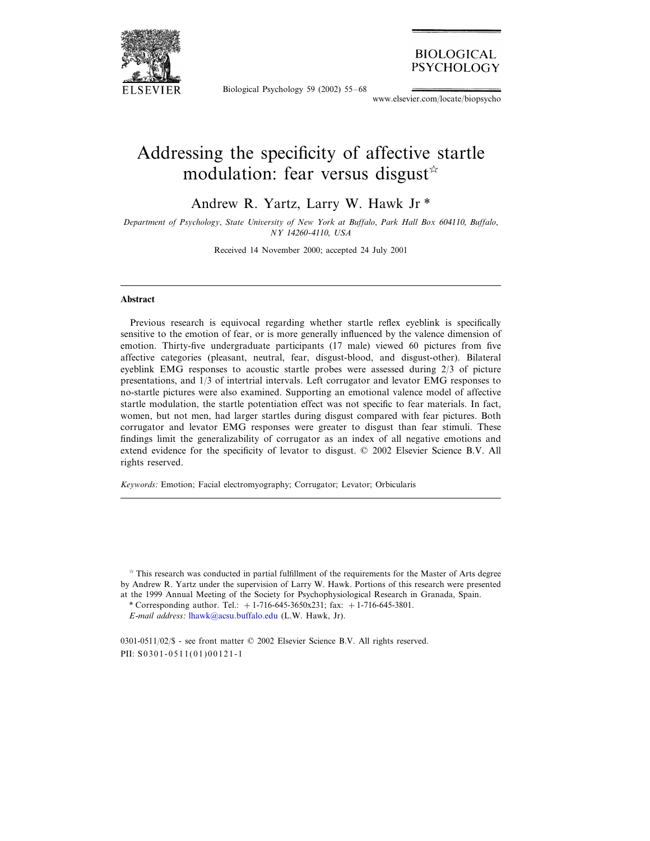

Biological Psychology 59 (2002) 55–68

**BIOLOGICAL PSYCHOLOGY** 

www.elsevier.com/locate/biopsycho

## Addressing the specificity of affective startle modulation: fear versus disgust  $\star$

Andrew R. Yartz, Larry W. Hawk Jr \*

*Department of Psychology*, *State Uniersity of New York at Buffalo*, *Park Hall Box* <sup>604110</sup>, *Buffalo*, *NY* 14260-4110, *USA*

Received 14 November 2000; accepted 24 July 2001

## **Abstract**

Previous research is equivocal regarding whether startle reflex eyeblink is specifically sensitive to the emotion of fear, or is more generally influenced by the valence dimension of emotion. Thirty-five undergraduate participants (17 male) viewed 60 pictures from five affective categories (pleasant, neutral, fear, disgust-blood, and disgust-other). Bilateral eyeblink EMG responses to acoustic startle probes were assessed during 2/3 of picture presentations, and 1/3 of intertrial intervals. Left corrugator and levator EMG responses to no-startle pictures were also examined. Supporting an emotional valence model of affective startle modulation, the startle potentiation effect was not specific to fear materials. In fact, women, but not men, had larger startles during disgust compared with fear pictures. Both corrugator and levator EMG responses were greater to disgust than fear stimuli. These findings limit the generalizability of corrugator as an index of all negative emotions and extend evidence for the specificity of levator to disgust. © 2002 Elsevier Science B.V. All rights reserved.

*Keywords*: Emotion; Facial electromyography; Corrugator; Levator; Orbicularis

 $\dot{\gamma}$  This research was conducted in partial fulfillment of the requirements for the Master of Arts degree by Andrew R. Yartz under the supervision of Larry W. Hawk. Portions of this research were presented at the 1999 Annual Meeting of the Society for Psychophysiological Research in Granada, Spain.

\* Corresponding author. Tel.:  $+1-716-645-3650x231$ ; fax:  $+1-716-645-3801$ .

*E*-*mail address*: [lhawk@acsu.buffalo.edu](mailto:lhawk@acsu.buffalo.edu) (L.W. Hawk, Jr).

0301-0511/02/\$ - see front matter © 2002 Elsevier Science B.V. All rights reserved. PII:  $S$ 0301-0511(01)00121-1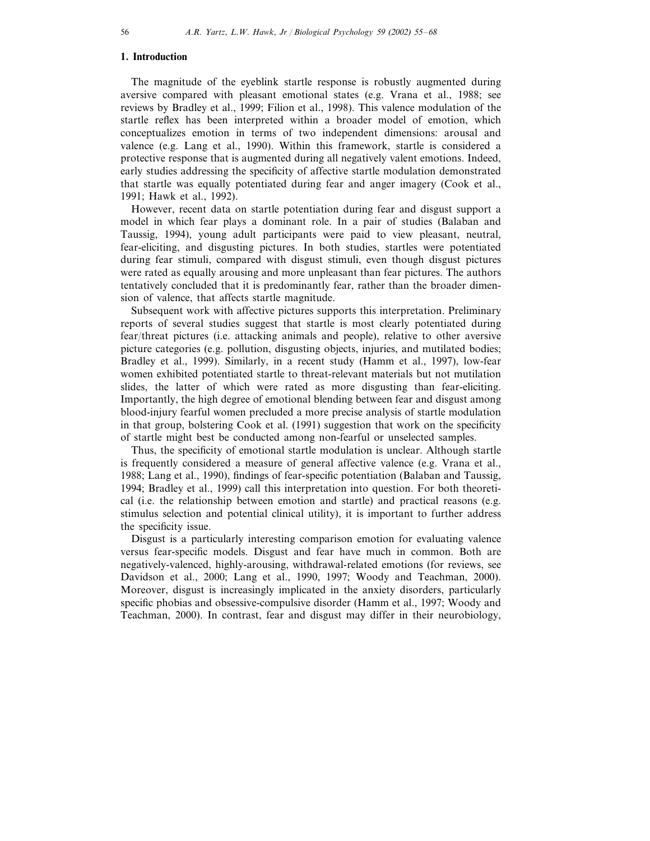## **1. Introduction**

The magnitude of the eyeblink startle response is robustly augmented during aversive compared with pleasant emotional states (e.g. Vrana et al., 1988; see reviews by Bradley et al., 1999; Filion et al., 1998). This valence modulation of the startle reflex has been interpreted within a broader model of emotion, which conceptualizes emotion in terms of two independent dimensions: arousal and valence (e.g. Lang et al., 1990). Within this framework, startle is considered a protective response that is augmented during all negatively valent emotions. Indeed, early studies addressing the specificity of affective startle modulation demonstrated that startle was equally potentiated during fear and anger imagery (Cook et al., 1991; Hawk et al., 1992).

However, recent data on startle potentiation during fear and disgust support a model in which fear plays a dominant role. In a pair of studies (Balaban and Taussig, 1994), young adult participants were paid to view pleasant, neutral, fear-eliciting, and disgusting pictures. In both studies, startles were potentiated during fear stimuli, compared with disgust stimuli, even though disgust pictures were rated as equally arousing and more unpleasant than fear pictures. The authors tentatively concluded that it is predominantly fear, rather than the broader dimension of valence, that affects startle magnitude.

Subsequent work with affective pictures supports this interpretation. Preliminary reports of several studies suggest that startle is most clearly potentiated during fear/threat pictures (i.e. attacking animals and people), relative to other aversive picture categories (e.g. pollution, disgusting objects, injuries, and mutilated bodies; Bradley et al., 1999). Similarly, in a recent study (Hamm et al., 1997), low-fear women exhibited potentiated startle to threat-relevant materials but not mutilation slides, the latter of which were rated as more disgusting than fear-eliciting. Importantly, the high degree of emotional blending between fear and disgust among blood-injury fearful women precluded a more precise analysis of startle modulation in that group, bolstering Cook et al. (1991) suggestion that work on the specificity of startle might best be conducted among non-fearful or unselected samples.

Thus, the specificity of emotional startle modulation is unclear. Although startle is frequently considered a measure of general affective valence (e.g. Vrana et al., 1988; Lang et al., 1990), findings of fear-specific potentiation (Balaban and Taussig, 1994; Bradley et al., 1999) call this interpretation into question. For both theoretical (i.e. the relationship between emotion and startle) and practical reasons (e.g. stimulus selection and potential clinical utility), it is important to further address the specificity issue.

Disgust is a particularly interesting comparison emotion for evaluating valence versus fear-specific models. Disgust and fear have much in common. Both are negatively-valenced, highly-arousing, withdrawal-related emotions (for reviews, see Davidson et al., 2000; Lang et al., 1990, 1997; Woody and Teachman, 2000). Moreover, disgust is increasingly implicated in the anxiety disorders, particularly specific phobias and obsessive-compulsive disorder (Hamm et al., 1997; Woody and Teachman, 2000). In contrast, fear and disgust may differ in their neurobiology,